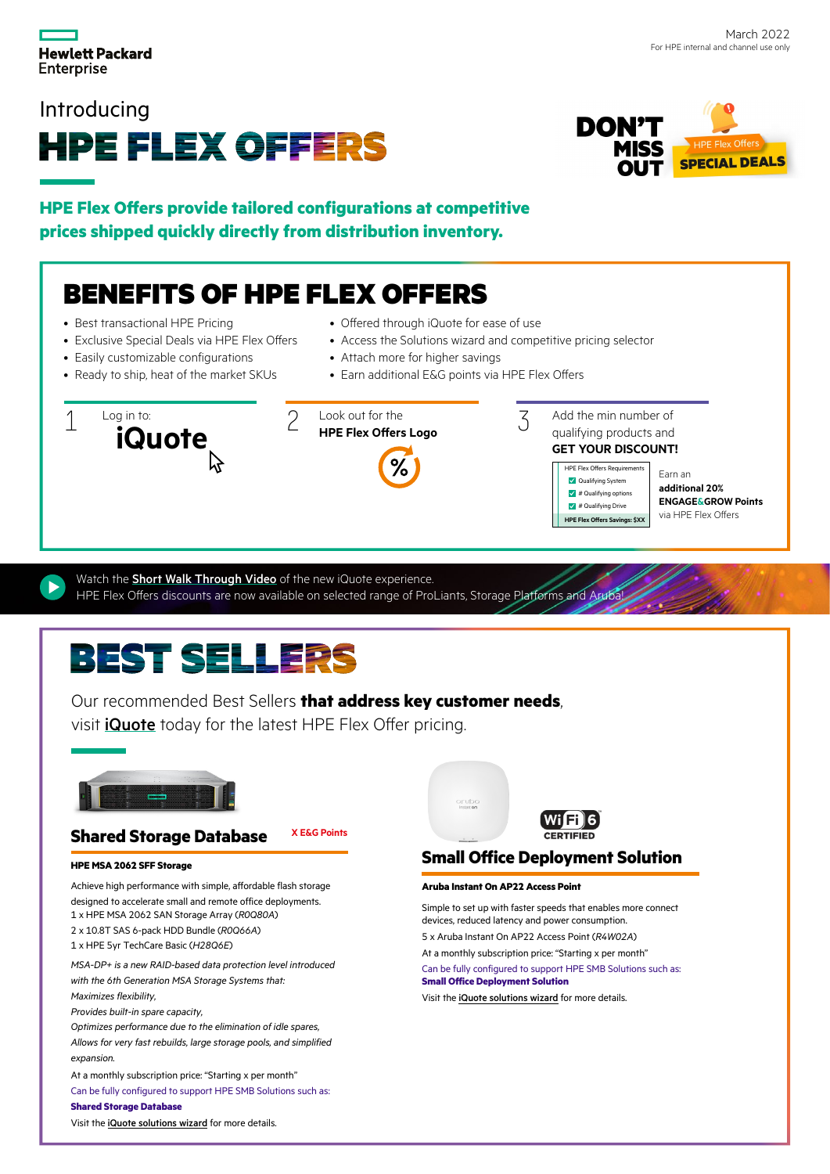

### Introducing





**HPE Flex Offers provide tailored configurations at competitive prices shipped quickly directly from distribution inventory.**

## BENEFITS OF HPE FLEX OFFERS

- Best transactional HPE Pricing
- Exclusive Special Deals via HPE Flex Offers
- Easily customizable configurations
- Ready to ship, heat of the market SKUs
- Offered through iQuote for ease of use
- Access the Solutions wizard and competitive pricing selector
- Attach more for higher savings
- Earn additional E&G points via HPE Flex Offers





Add the min number of qualifying products and **GET YOUR DISCOUNT!**



Earn an **additional 20% ENGAGE&GROW Points** via HPE Flex Offers

Watch the **[Short Walk Through Video](https://www.youtube.com/watch?v=N-UltgoYpI4&feature=youtu.be)** of the new iQuote experience. HPE Flex Offers discounts are now available on selected range of ProLiants, Storage Platforms and Arub

## **BEST SELLERS**

Our recommended Best Sellers **that address key customer needs**,

visit iQuote today for the latest HPE Flex Offer pricing.



### **Shared Storage Database X E&G Points**

### **HPE MSA 2062 SFF Storage**

Achieve high performance with simple, affordable flash storage designed to accelerate small and remote office deployments. 1 x HPE MSA 2062 SAN Storage Array (*R0Q80A*) 2 x 10.8T SAS 6-pack HDD Bundle (*R0Q66A*)

1 x HPE 5yr TechCare Basic (*H28Q6E*)

*MSA-DP+ is a new RAID-based data protection level introduced with the 6th Generation MSA Storage Systems that: Maximizes flexibility,* 

*Provides built-in spare capacity,*

*Optimizes performance due to the elimination of idle spares, Allows for very fast rebuilds, large storage pools, and simplified expansion.*

At a monthly subscription price: "Starting x per month" Can be fully configured to support HPE SMB Solutions such as: **Shared Storage Database**

Visit the [iQuote solutions wizard](http://iquote.hpe.com) for more details.



### **Small Office Deployment Solution**

### **Aruba Instant On AP22 Access Point**

Simple to set up with faster speeds that enables more connect devices, reduced latency and power consumption. 5 x Aruba Instant On AP22 Access Point (*R4W02A*)

At a monthly subscription price: "Starting x per month"

Can be fully configured to support HPE SMB Solutions such as: **Small Office Deployment Solution**

Visit the iQuote solutions wizard for more details.